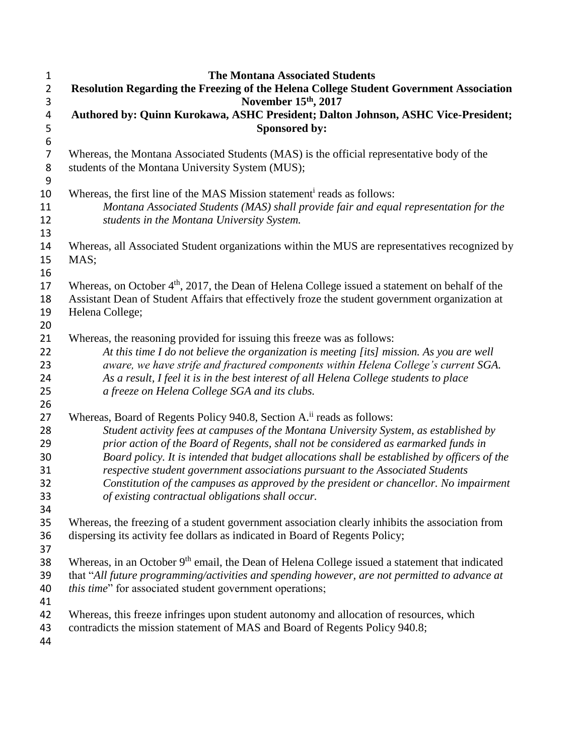| 1              | <b>The Montana Associated Students</b>                                                                                                     |
|----------------|--------------------------------------------------------------------------------------------------------------------------------------------|
| $\overline{2}$ | Resolution Regarding the Freezing of the Helena College Student Government Association                                                     |
| 3              | November 15th, 2017                                                                                                                        |
| 4              | Authored by: Quinn Kurokawa, ASHC President; Dalton Johnson, ASHC Vice-President;                                                          |
| 5              | Sponsored by:                                                                                                                              |
| $\,$ 6 $\,$    |                                                                                                                                            |
| 7              | Whereas, the Montana Associated Students (MAS) is the official representative body of the                                                  |
| 8              | students of the Montana University System (MUS);                                                                                           |
| 9              |                                                                                                                                            |
| 10             | Whereas, the first line of the MAS Mission statement <sup>1</sup> reads as follows:                                                        |
| 11             | Montana Associated Students (MAS) shall provide fair and equal representation for the                                                      |
| 12             | students in the Montana University System.                                                                                                 |
| 13             |                                                                                                                                            |
| 14             | Whereas, all Associated Student organizations within the MUS are representatives recognized by                                             |
| 15             | MAS;                                                                                                                                       |
| 16             |                                                                                                                                            |
| 17             | Whereas, on October 4 <sup>th</sup> , 2017, the Dean of Helena College issued a statement on behalf of the                                 |
| 18             | Assistant Dean of Student Affairs that effectively froze the student government organization at                                            |
| 19             | Helena College;                                                                                                                            |
| 20             |                                                                                                                                            |
| 21             | Whereas, the reasoning provided for issuing this freeze was as follows:                                                                    |
| 22             | At this time I do not believe the organization is meeting [its] mission. As you are well                                                   |
| 23             | aware, we have strife and fractured components within Helena College's current SGA.                                                        |
| 24             | As a result, I feel it is in the best interest of all Helena College students to place                                                     |
| 25             | a freeze on Helena College SGA and its clubs.                                                                                              |
| 26             |                                                                                                                                            |
| 27             | Whereas, Board of Regents Policy 940.8, Section A. <sup>ii</sup> reads as follows:                                                         |
| 28             | Student activity fees at campuses of the Montana University System, as established by                                                      |
| 29             | prior action of the Board of Regents, shall not be considered as earmarked funds in                                                        |
| 30             | Board policy. It is intended that budget allocations shall be established by officers of the                                               |
| 31<br>32       | respective student government associations pursuant to the Associated Students                                                             |
| 33             | Constitution of the campuses as approved by the president or chancellor. No impairment<br>of existing contractual obligations shall occur. |
|                |                                                                                                                                            |
| 34<br>35       | Whereas, the freezing of a student government association clearly inhibits the association from                                            |
| 36             | dispersing its activity fee dollars as indicated in Board of Regents Policy;                                                               |
| 37             |                                                                                                                                            |
| 38             | Whereas, in an October 9 <sup>th</sup> email, the Dean of Helena College issued a statement that indicated                                 |
| 39             | that "All future programming/activities and spending however, are not permitted to advance at                                              |
| 40             | this time" for associated student government operations;                                                                                   |
| 41             |                                                                                                                                            |
| 42             | Whereas, this freeze infringes upon student autonomy and allocation of resources, which                                                    |
| 43             | contradicts the mission statement of MAS and Board of Regents Policy 940.8;                                                                |
|                |                                                                                                                                            |